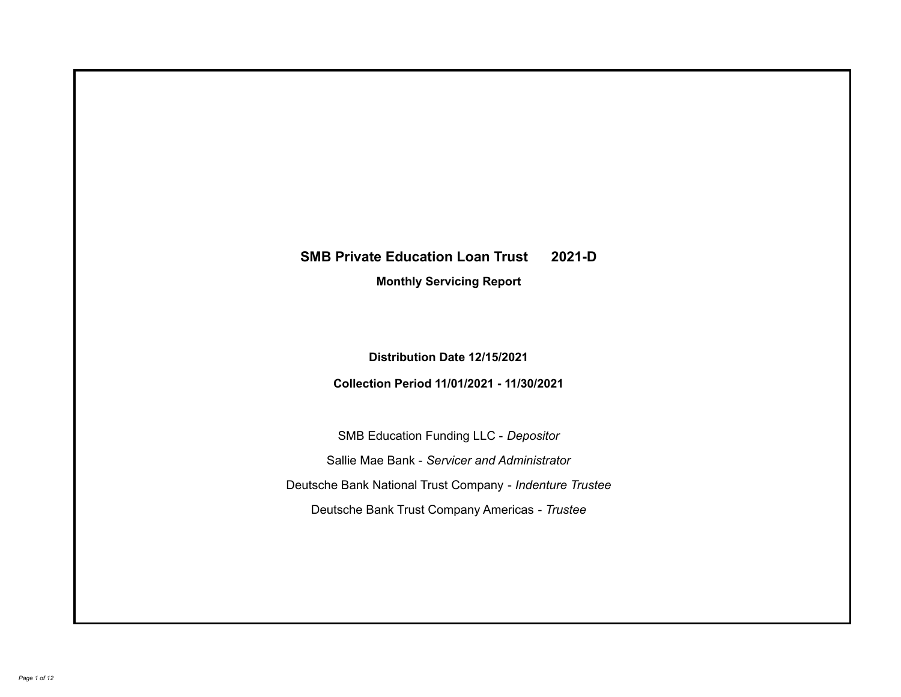# **SMB Private Education Loan Trust 2021-D**

**Monthly Servicing Report**

**Distribution Date 12/15/2021**

**Collection Period 11/01/2021 - 11/30/2021**

SMB Education Funding LLC - *Depositor* Sallie Mae Bank - *Servicer and Administrator* Deutsche Bank National Trust Company - *Indenture Trustee* Deutsche Bank Trust Company Americas - *Trustee*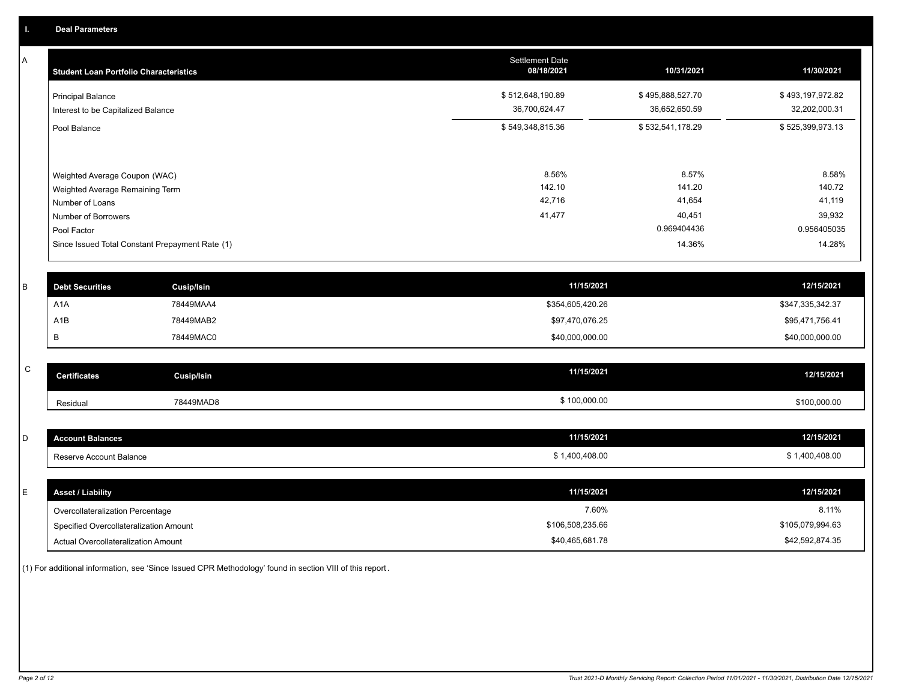A

| <b>Student Loan Portfolio Characteristics</b>                  | <b>Settlement Date</b><br>08/18/2021 | 10/31/2021                        | 11/30/2021                        |
|----------------------------------------------------------------|--------------------------------------|-----------------------------------|-----------------------------------|
| <b>Principal Balance</b><br>Interest to be Capitalized Balance | \$512,648,190.89<br>36,700,624.47    | \$495,888,527.70<br>36,652,650.59 | \$493,197,972.82<br>32,202,000.31 |
| Pool Balance                                                   | \$549,348,815.36                     | \$532,541,178.29                  | \$525,399,973.13                  |
|                                                                |                                      |                                   |                                   |
| Weighted Average Coupon (WAC)                                  | 8.56%                                | 8.57%                             | 8.58%                             |
| Weighted Average Remaining Term                                | 142.10                               | 141.20                            | 140.72                            |
| Number of Loans                                                | 42,716                               | 41,654                            | 41,119                            |
| Number of Borrowers                                            | 41,477                               | 40,451                            | 39,932                            |
| Pool Factor                                                    |                                      | 0.969404436                       | 0.956405035                       |
| Since Issued Total Constant Prepayment Rate (1)                |                                      | 14.36%                            | 14.28%                            |
|                                                                |                                      |                                   |                                   |

| <b>Debt Securities</b> | <b>Cusip/Isin</b> | 11/15/2021       | 12/15/2021       |
|------------------------|-------------------|------------------|------------------|
| A <sub>1</sub> A       | 78449MAA4         | \$354,605,420.26 | \$347,335,342.37 |
| A <sub>1</sub> B       | 78449MAB2         | \$97,470,076.25  | \$95,471,756.41  |
|                        | 78449MAC0         | \$40,000,000.00  | \$40,000,000.00  |

| $\sim$<br>u | <b>Certificates</b> | <b>Cusip/Isin</b> | 11/15/2021   | 12/15/2021   |
|-------------|---------------------|-------------------|--------------|--------------|
|             | Residual            | 78449MAD8         | \$100,000.00 | \$100,000.00 |

| Account Balances                  | 11/15/2021 | 12/15/2021  |
|-----------------------------------|------------|-------------|
| erve Account Balance.<br>Reserve. | 0,408.00   | .400.408.00 |

| ᄂ | <b>Asset / Liability</b>               | 11/15/2021       | 12/15/2021       |
|---|----------------------------------------|------------------|------------------|
|   | Overcollateralization Percentage       | 7.60%            | 8.11%            |
|   | Specified Overcollateralization Amount | \$106,508,235.66 | \$105,079,994.63 |
|   | Actual Overcollateralization Amount    | \$40,465,681.78  | \$42,592,874.35  |

(1) For additional information, see 'Since Issued CPR Methodology' found in section VIII of this report .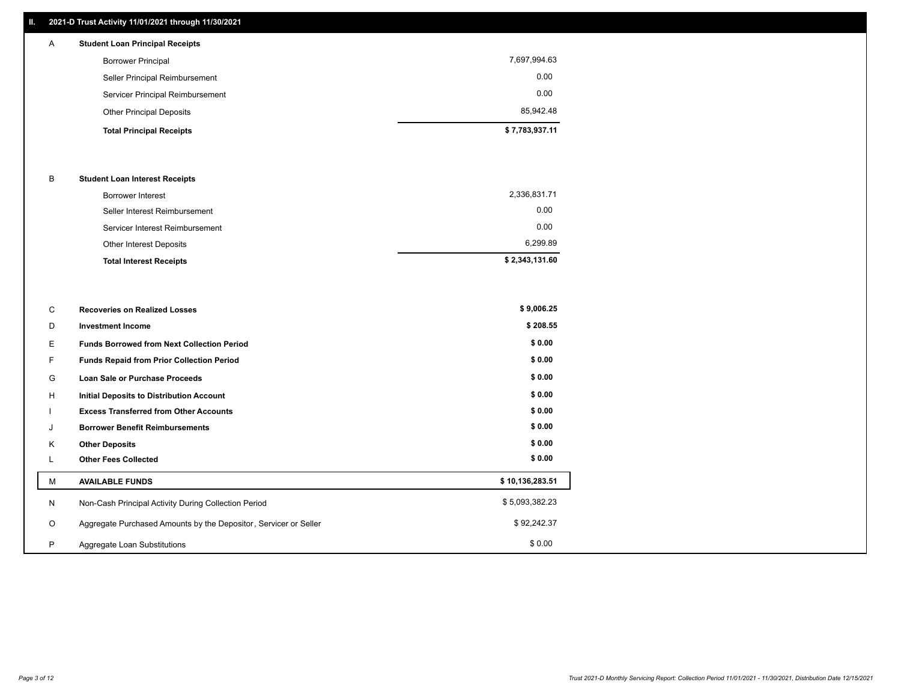## **II. 2021-D Trust Activity 11/01/2021 through 11/30/2021**

## **Total Principal Receipts \$ 7,783,937.11**  Other Principal Deposits 85,942.48 Servicer Principal Reimbursement 0.00 Seller Principal Reimbursement 0.00 Borrower Principal 7,697,994.63 A **Student Loan Principal Receipts**

#### B **Student Loan Interest Receipts**

| Borrower Interest               | 2,336,831.71   |
|---------------------------------|----------------|
| Seller Interest Reimbursement   | 0.00           |
| Servicer Interest Reimbursement | 0.00           |
| Other Interest Deposits         | 6,299.89       |
| <b>Total Interest Receipts</b>  | \$2,343,131.60 |

| C       | <b>Recoveries on Realized Losses</b>                             | \$9,006.25      |
|---------|------------------------------------------------------------------|-----------------|
| D       | <b>Investment Income</b>                                         | \$208.55        |
| Е       | <b>Funds Borrowed from Next Collection Period</b>                | \$0.00          |
| F.      | <b>Funds Repaid from Prior Collection Period</b>                 | \$0.00          |
| G       | Loan Sale or Purchase Proceeds                                   | \$0.00          |
| H       | <b>Initial Deposits to Distribution Account</b>                  | \$0.00          |
|         | <b>Excess Transferred from Other Accounts</b>                    | \$0.00          |
| J       | <b>Borrower Benefit Reimbursements</b>                           | \$0.00          |
| K       | <b>Other Deposits</b>                                            | \$0.00          |
| L       | <b>Other Fees Collected</b>                                      | \$0.00          |
| M       | <b>AVAILABLE FUNDS</b>                                           | \$10,136,283.51 |
| N       | Non-Cash Principal Activity During Collection Period             | \$5,093,382.23  |
| $\circ$ | Aggregate Purchased Amounts by the Depositor, Servicer or Seller | \$92,242.37     |
| P       | Aggregate Loan Substitutions                                     | \$0.00          |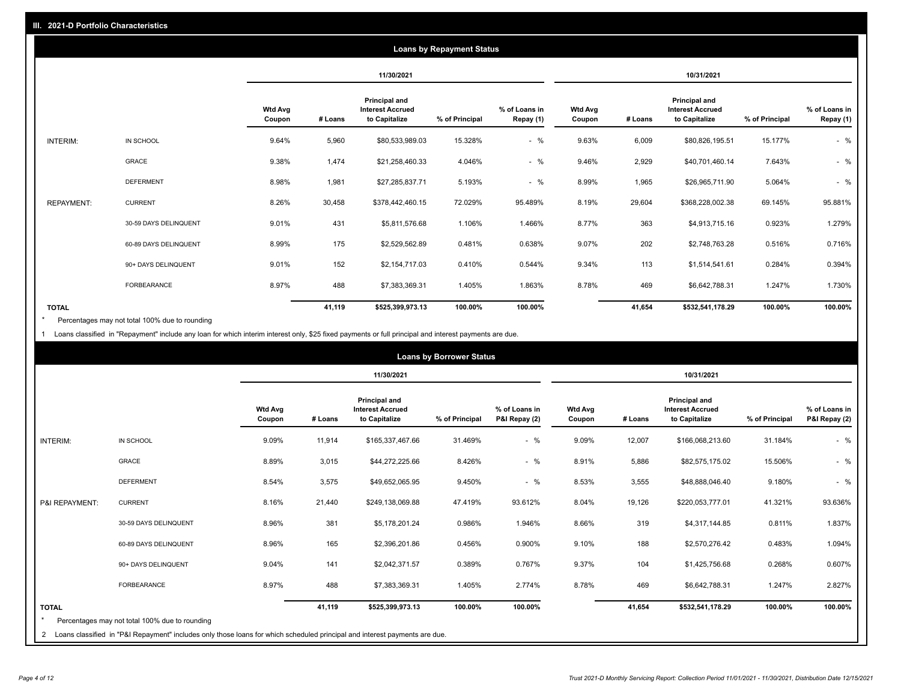|                   | <b>Loans by Repayment Status</b> |                          |         |                                                           |                |                            |                          |         |                                                           |                |                            |
|-------------------|----------------------------------|--------------------------|---------|-----------------------------------------------------------|----------------|----------------------------|--------------------------|---------|-----------------------------------------------------------|----------------|----------------------------|
|                   |                                  |                          |         | 11/30/2021                                                |                |                            |                          |         | 10/31/2021                                                |                |                            |
|                   |                                  | <b>Wtd Avg</b><br>Coupon | # Loans | Principal and<br><b>Interest Accrued</b><br>to Capitalize | % of Principal | % of Loans in<br>Repay (1) | <b>Wtd Avg</b><br>Coupon | # Loans | Principal and<br><b>Interest Accrued</b><br>to Capitalize | % of Principal | % of Loans in<br>Repay (1) |
| INTERIM:          | IN SCHOOL                        | 9.64%                    | 5,960   | \$80,533,989.03                                           | 15.328%        | $-$ %                      | 9.63%                    | 6,009   | \$80,826,195.51                                           | 15.177%        | $-$ %                      |
|                   | GRACE                            | 9.38%                    | 1,474   | \$21,258,460.33                                           | 4.046%         | $-$ %                      | 9.46%                    | 2,929   | \$40,701,460.14                                           | 7.643%         | $-$ %                      |
|                   | <b>DEFERMENT</b>                 | 8.98%                    | 1,981   | \$27,285,837.71                                           | 5.193%         | $-$ %                      | 8.99%                    | 1,965   | \$26,965,711.90                                           | 5.064%         | $-$ %                      |
| <b>REPAYMENT:</b> | <b>CURRENT</b>                   | 8.26%                    | 30,458  | \$378,442,460.15                                          | 72.029%        | 95.489%                    | 8.19%                    | 29,604  | \$368,228,002.38                                          | 69.145%        | 95.881%                    |
|                   | 30-59 DAYS DELINQUENT            | 9.01%                    | 431     | \$5,811,576.68                                            | 1.106%         | 1.466%                     | 8.77%                    | 363     | \$4,913,715.16                                            | 0.923%         | 1.279%                     |
|                   | 60-89 DAYS DELINQUENT            | 8.99%                    | 175     | \$2,529,562.89                                            | 0.481%         | 0.638%                     | 9.07%                    | 202     | \$2,748,763.28                                            | 0.516%         | 0.716%                     |
|                   | 90+ DAYS DELINQUENT              | 9.01%                    | 152     | \$2,154,717.03                                            | 0.410%         | 0.544%                     | 9.34%                    | 113     | \$1,514,541.61                                            | 0.284%         | 0.394%                     |
|                   | FORBEARANCE                      | 8.97%                    | 488     | \$7,383,369.31                                            | 1.405%         | 1.863%                     | 8.78%                    | 469     | \$6,642,788.31                                            | 1.247%         | 1.730%                     |
| <b>TOTAL</b>      |                                  |                          | 41,119  | \$525,399,973.13                                          | 100.00%        | 100.00%                    |                          | 41,654  | \$532,541,178.29                                          | 100.00%        | 100.00%                    |

Percentages may not total 100% due to rounding \*

1 Loans classified in "Repayment" include any loan for which interim interest only, \$25 fixed payments or full principal and interest payments are due.

| <b>Loans by Borrower Status</b> |                                                                                                                              |                          |            |                                                                  |                |                                |                          |         |                                                                  |                |                                |
|---------------------------------|------------------------------------------------------------------------------------------------------------------------------|--------------------------|------------|------------------------------------------------------------------|----------------|--------------------------------|--------------------------|---------|------------------------------------------------------------------|----------------|--------------------------------|
|                                 |                                                                                                                              |                          | 11/30/2021 |                                                                  |                |                                | 10/31/2021               |         |                                                                  |                |                                |
|                                 |                                                                                                                              | <b>Wtd Avg</b><br>Coupon | # Loans    | <b>Principal and</b><br><b>Interest Accrued</b><br>to Capitalize | % of Principal | % of Loans in<br>P&I Repay (2) | <b>Wtd Avg</b><br>Coupon | # Loans | <b>Principal and</b><br><b>Interest Accrued</b><br>to Capitalize | % of Principal | % of Loans in<br>P&I Repay (2) |
| INTERIM:                        | IN SCHOOL                                                                                                                    | 9.09%                    | 11,914     | \$165,337,467.66                                                 | 31.469%        | $-$ %                          | 9.09%                    | 12,007  | \$166,068,213.60                                                 | 31.184%        | $-$ %                          |
|                                 | <b>GRACE</b>                                                                                                                 | 8.89%                    | 3,015      | \$44,272,225.66                                                  | 8.426%         | $-$ %                          | 8.91%                    | 5,886   | \$82,575,175.02                                                  | 15.506%        | $-$ %                          |
|                                 | <b>DEFERMENT</b>                                                                                                             | 8.54%                    | 3,575      | \$49,652,065.95                                                  | 9.450%         | $-$ %                          | 8.53%                    | 3,555   | \$48,888,046.40                                                  | 9.180%         | $-$ %                          |
| P&I REPAYMENT:                  | <b>CURRENT</b>                                                                                                               | 8.16%                    | 21,440     | \$249,138,069.88                                                 | 47.419%        | 93.612%                        | 8.04%                    | 19,126  | \$220,053,777.01                                                 | 41.321%        | 93.636%                        |
|                                 | 30-59 DAYS DELINQUENT                                                                                                        | 8.96%                    | 381        | \$5,178,201.24                                                   | 0.986%         | 1.946%                         | 8.66%                    | 319     | \$4,317,144.85                                                   | 0.811%         | 1.837%                         |
|                                 | 60-89 DAYS DELINQUENT                                                                                                        | 8.96%                    | 165        | \$2,396,201.86                                                   | 0.456%         | 0.900%                         | 9.10%                    | 188     | \$2,570,276.42                                                   | 0.483%         | 1.094%                         |
|                                 | 90+ DAYS DELINQUENT                                                                                                          | 9.04%                    | 141        | \$2,042,371.57                                                   | 0.389%         | 0.767%                         | 9.37%                    | 104     | \$1,425,756.68                                                   | 0.268%         | 0.607%                         |
|                                 | <b>FORBEARANCE</b>                                                                                                           | 8.97%                    | 488        | \$7,383,369.31                                                   | 1.405%         | 2.774%                         | 8.78%                    | 469     | \$6,642,788.31                                                   | 1.247%         | 2.827%                         |
| <b>TOTAL</b>                    | Percentages may not total 100% due to rounding                                                                               |                          | 41,119     | \$525,399,973.13                                                 | 100.00%        | 100.00%                        |                          | 41,654  | \$532,541,178.29                                                 | 100.00%        | 100.00%                        |
|                                 | 2 Loans classified in "P&I Repayment" includes only those loans for which scheduled principal and interest payments are due. |                          |            |                                                                  |                |                                |                          |         |                                                                  |                |                                |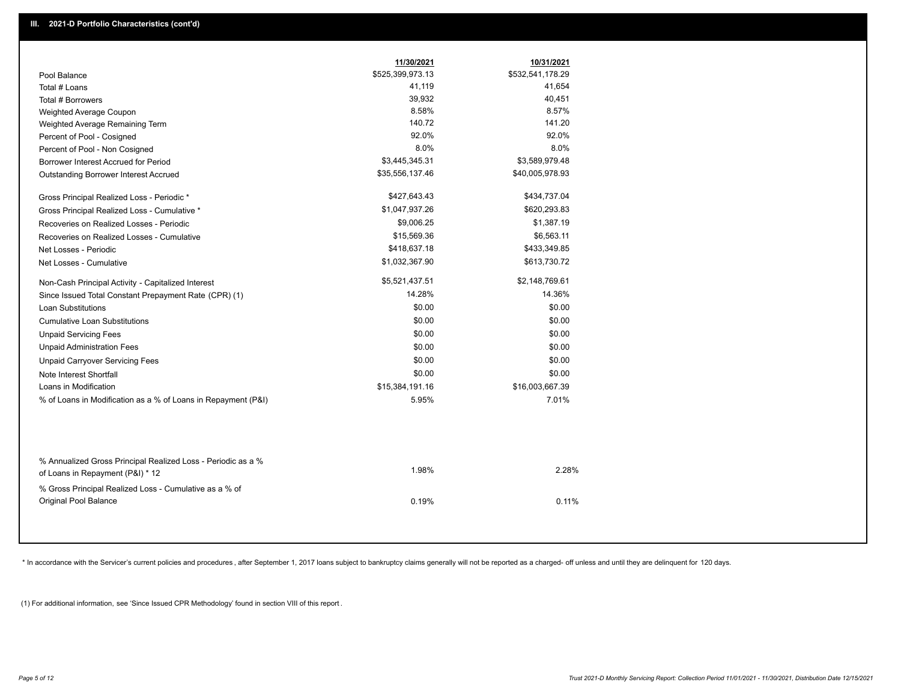|                                                                                        | 11/30/2021       | 10/31/2021       |  |
|----------------------------------------------------------------------------------------|------------------|------------------|--|
| Pool Balance                                                                           | \$525,399,973.13 | \$532,541,178.29 |  |
| Total # Loans                                                                          | 41,119           | 41,654           |  |
| Total # Borrowers                                                                      | 39,932           | 40,451           |  |
| Weighted Average Coupon                                                                | 8.58%            | 8.57%            |  |
| Weighted Average Remaining Term                                                        | 140.72           | 141.20           |  |
| Percent of Pool - Cosigned                                                             | 92.0%            | 92.0%            |  |
| Percent of Pool - Non Cosigned                                                         | 8.0%             | 8.0%             |  |
| Borrower Interest Accrued for Period                                                   | \$3,445,345.31   | \$3,589,979.48   |  |
| Outstanding Borrower Interest Accrued                                                  | \$35,556,137.46  | \$40,005,978.93  |  |
| Gross Principal Realized Loss - Periodic *                                             | \$427,643.43     | \$434,737.04     |  |
| Gross Principal Realized Loss - Cumulative *                                           | \$1,047,937.26   | \$620,293.83     |  |
| Recoveries on Realized Losses - Periodic                                               | \$9,006.25       | \$1,387.19       |  |
| Recoveries on Realized Losses - Cumulative                                             | \$15,569.36      | \$6,563.11       |  |
| Net Losses - Periodic                                                                  | \$418,637.18     | \$433,349.85     |  |
| Net Losses - Cumulative                                                                | \$1,032,367.90   | \$613,730.72     |  |
| Non-Cash Principal Activity - Capitalized Interest                                     | \$5,521,437.51   | \$2,148,769.61   |  |
| Since Issued Total Constant Prepayment Rate (CPR) (1)                                  | 14.28%           | 14.36%           |  |
| <b>Loan Substitutions</b>                                                              | \$0.00           | \$0.00           |  |
| <b>Cumulative Loan Substitutions</b>                                                   | \$0.00           | \$0.00           |  |
| <b>Unpaid Servicing Fees</b>                                                           | \$0.00           | \$0.00           |  |
| <b>Unpaid Administration Fees</b>                                                      | \$0.00           | \$0.00           |  |
| <b>Unpaid Carryover Servicing Fees</b>                                                 | \$0.00           | \$0.00           |  |
| Note Interest Shortfall                                                                | \$0.00           | \$0.00           |  |
| Loans in Modification                                                                  | \$15,384,191.16  | \$16,003,667.39  |  |
| % of Loans in Modification as a % of Loans in Repayment (P&I)                          | 5.95%            | 7.01%            |  |
| % Annualized Gross Principal Realized Loss - Periodic as a %                           |                  |                  |  |
| of Loans in Repayment (P&I) * 12                                                       | 1.98%            | 2.28%            |  |
| % Gross Principal Realized Loss - Cumulative as a % of<br><b>Original Pool Balance</b> | 0.19%            | 0.11%            |  |

\* In accordance with the Servicer's current policies and procedures, after September 1, 2017 loans subject to bankruptcy claims generally will not be reported as a charged- off unless and until they are delinquent for 120

(1) For additional information, see 'Since Issued CPR Methodology' found in section VIII of this report .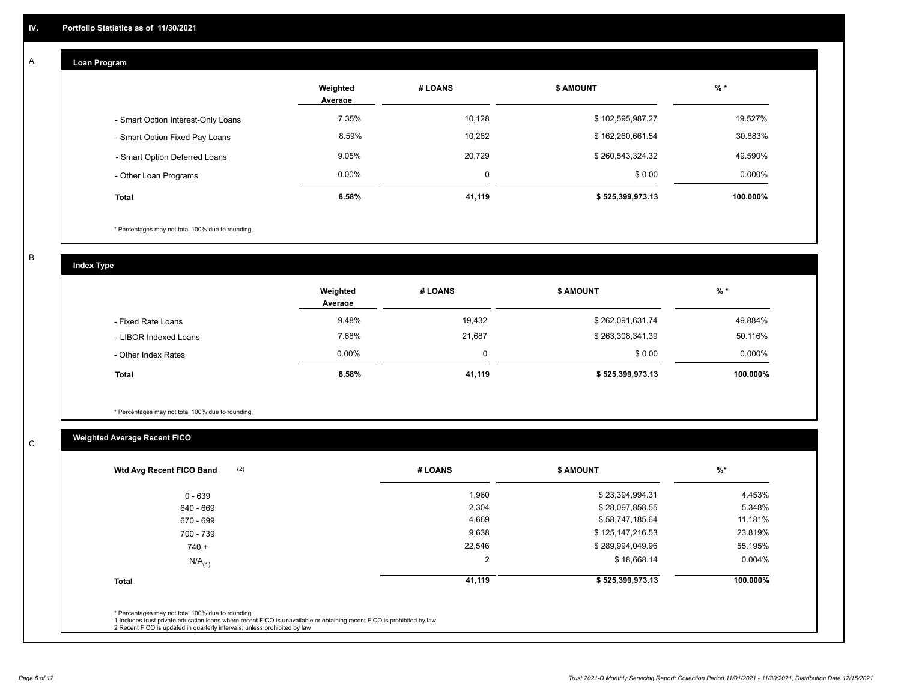## **Loan Program**

A

|                                    | Weighted<br>Average | # LOANS | <b>\$ AMOUNT</b> | $%$ *    |
|------------------------------------|---------------------|---------|------------------|----------|
| - Smart Option Interest-Only Loans | 7.35%               | 10,128  | \$102,595,987.27 | 19.527%  |
| - Smart Option Fixed Pay Loans     | 8.59%               | 10,262  | \$162,260,661.54 | 30.883%  |
| - Smart Option Deferred Loans      | 9.05%               | 20.729  | \$260,543,324.32 | 49.590%  |
| - Other Loan Programs              | $0.00\%$            | 0       | \$0.00           | 0.000%   |
| <b>Total</b>                       | 8.58%               | 41,119  | \$525,399,973.13 | 100.000% |

\* Percentages may not total 100% due to rounding

B

C

**Index Type**

|                       | Weighted<br>Average | # LOANS | <b>\$ AMOUNT</b> | $%$ *     |
|-----------------------|---------------------|---------|------------------|-----------|
| - Fixed Rate Loans    | 9.48%               | 19,432  | \$262,091,631.74 | 49.884%   |
| - LIBOR Indexed Loans | 7.68%               | 21,687  | \$263,308,341.39 | 50.116%   |
| - Other Index Rates   | $0.00\%$            |         | \$0.00           | $0.000\%$ |
| Total                 | $8.58\%$            | 41,119  | \$525,399,973.13 | 100.000%  |

\* Percentages may not total 100% due to rounding

## **Weighted Average Recent FICO**

| (2)<br>Wtd Avg Recent FICO Band | # LOANS        | <b>\$ AMOUNT</b> | $%$ *     |
|---------------------------------|----------------|------------------|-----------|
| $0 - 639$                       | 1,960          | \$23,394,994.31  | 4.453%    |
| 640 - 669                       | 2,304          | \$28,097,858.55  | 5.348%    |
| 670 - 699                       | 4,669          | \$58,747,185.64  | 11.181%   |
| 700 - 739                       | 9,638          | \$125,147,216.53 | 23.819%   |
| $740 +$                         | 22,546         | \$289,994,049.96 | 55.195%   |
| $N/A$ <sub>(1)</sub>            | $\overline{2}$ | \$18,668.14      | $0.004\%$ |
| <b>Total</b>                    | 41,119         | \$525,399,973.13 | 100.000%  |
|                                 |                |                  |           |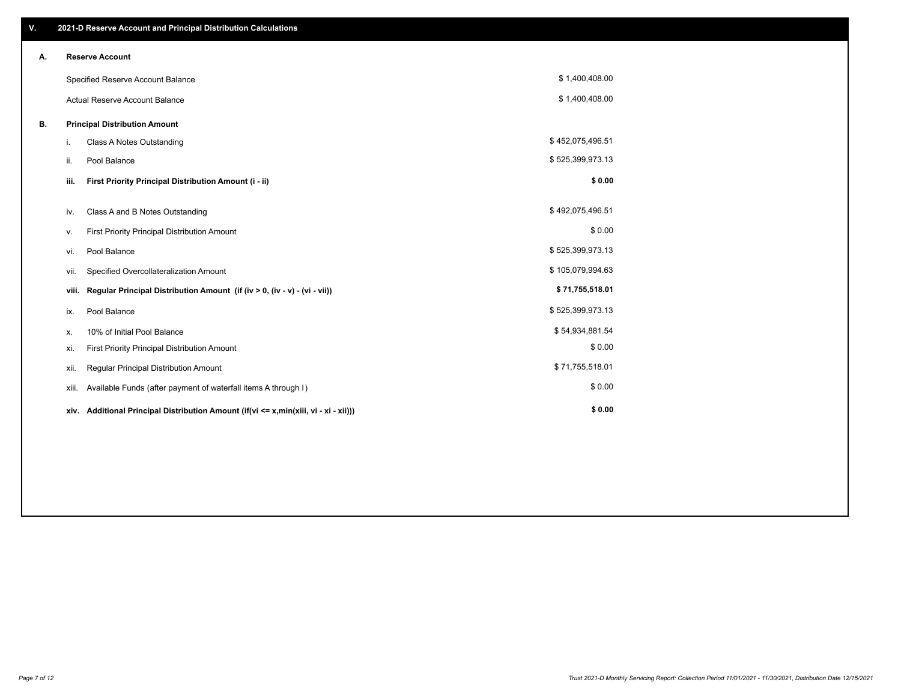| V. |       | 2021-D Reserve Account and Principal Distribution Calculations                       |                  |  |
|----|-------|--------------------------------------------------------------------------------------|------------------|--|
| А. |       | <b>Reserve Account</b>                                                               |                  |  |
|    |       | Specified Reserve Account Balance                                                    | \$1,400,408.00   |  |
|    |       | <b>Actual Reserve Account Balance</b>                                                | \$1,400,408.00   |  |
| В. |       | <b>Principal Distribution Amount</b>                                                 |                  |  |
|    | i.    | <b>Class A Notes Outstanding</b>                                                     | \$452,075,496.51 |  |
|    | ii.   | Pool Balance                                                                         | \$525,399,973.13 |  |
|    | iii.  | First Priority Principal Distribution Amount (i - ii)                                | \$0.00           |  |
|    | iv.   | Class A and B Notes Outstanding                                                      | \$492,075,496.51 |  |
|    | ν.    | First Priority Principal Distribution Amount                                         | \$0.00           |  |
|    | vi.   | Pool Balance                                                                         | \$525,399,973.13 |  |
|    | vii.  | Specified Overcollateralization Amount                                               | \$105,079,994.63 |  |
|    | viii. | Regular Principal Distribution Amount (if (iv > 0, (iv - v) - (vi - vii))            | \$71,755,518.01  |  |
|    | ix.   | Pool Balance                                                                         | \$525,399,973.13 |  |
|    | х.    | 10% of Initial Pool Balance                                                          | \$54,934,881.54  |  |
|    | xi.   | First Priority Principal Distribution Amount                                         | \$0.00           |  |
|    | xii.  | Regular Principal Distribution Amount                                                | \$71,755,518.01  |  |
|    | xiii. | Available Funds (after payment of waterfall items A through I)                       | \$0.00           |  |
|    |       | xiv. Additional Principal Distribution Amount (if(vi <= x,min(xiii, vi - xi - xii))) | \$0.00           |  |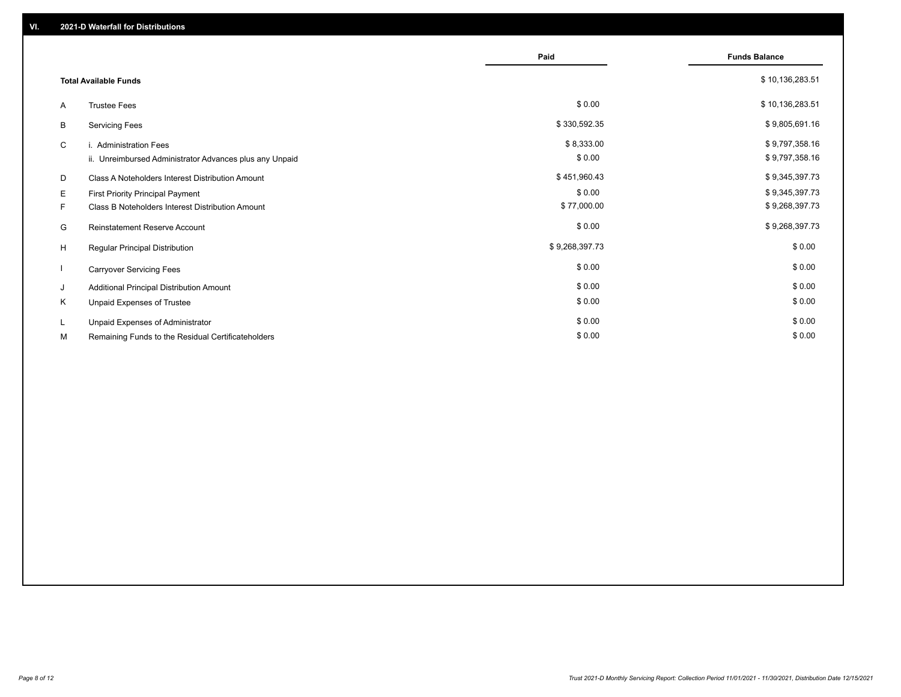|    |                                                         | Paid           | <b>Funds Balance</b> |
|----|---------------------------------------------------------|----------------|----------------------|
|    | <b>Total Available Funds</b>                            |                | \$10,136,283.51      |
| A  | <b>Trustee Fees</b>                                     | \$0.00         | \$10,136,283.51      |
| B  | <b>Servicing Fees</b>                                   | \$330,592.35   | \$9,805,691.16       |
| C  | i. Administration Fees                                  | \$8,333.00     | \$9,797,358.16       |
|    | ii. Unreimbursed Administrator Advances plus any Unpaid | \$0.00         | \$9,797,358.16       |
| D  | Class A Noteholders Interest Distribution Amount        | \$451,960.43   | \$9,345,397.73       |
| E. | <b>First Priority Principal Payment</b>                 | \$0.00         | \$9,345,397.73       |
| F. | Class B Noteholders Interest Distribution Amount        | \$77,000.00    | \$9,268,397.73       |
| G  | <b>Reinstatement Reserve Account</b>                    | \$0.00         | \$9,268,397.73       |
| H  | <b>Regular Principal Distribution</b>                   | \$9,268,397.73 | \$0.00               |
|    | <b>Carryover Servicing Fees</b>                         | \$0.00         | \$0.00               |
| J  | Additional Principal Distribution Amount                | \$0.00         | \$0.00               |
| K  | Unpaid Expenses of Trustee                              | \$0.00         | \$0.00               |
|    | Unpaid Expenses of Administrator                        | \$0.00         | \$0.00               |
| М  | Remaining Funds to the Residual Certificateholders      | \$0.00         | \$0.00               |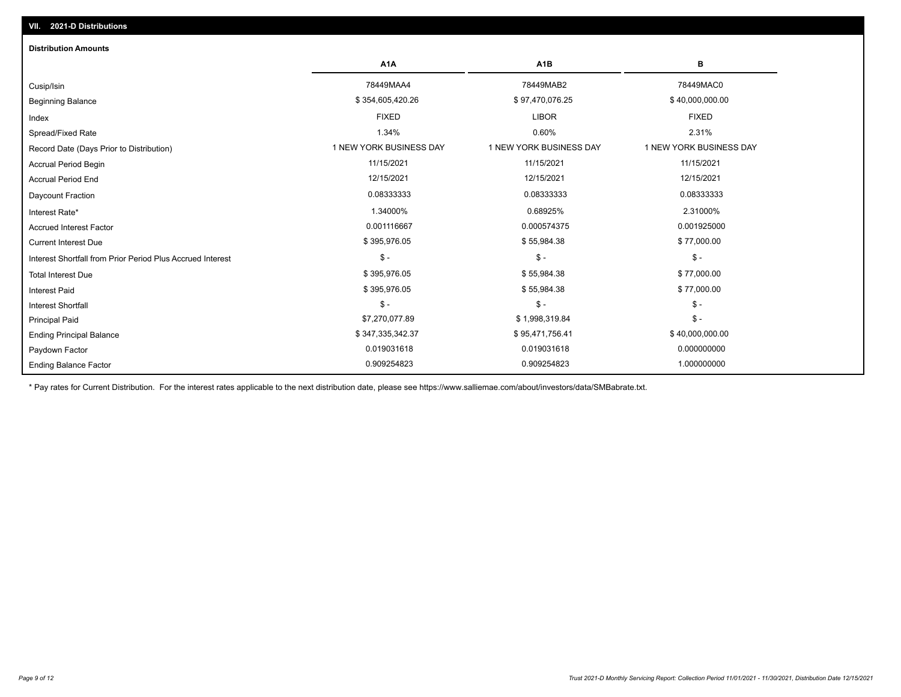| <b>Distribution Amounts</b>                                |                         |                         |                         |
|------------------------------------------------------------|-------------------------|-------------------------|-------------------------|
|                                                            | A <sub>1</sub> A        | A <sub>1</sub> B        | В                       |
| Cusip/Isin                                                 | 78449MAA4               | 78449MAB2               | 78449MAC0               |
| <b>Beginning Balance</b>                                   | \$354,605,420.26        | \$97,470,076.25         | \$40,000,000.00         |
| Index                                                      | <b>FIXED</b>            | <b>LIBOR</b>            | <b>FIXED</b>            |
| Spread/Fixed Rate                                          | 1.34%                   | 0.60%                   | 2.31%                   |
| Record Date (Days Prior to Distribution)                   | 1 NEW YORK BUSINESS DAY | 1 NEW YORK BUSINESS DAY | 1 NEW YORK BUSINESS DAY |
| <b>Accrual Period Begin</b>                                | 11/15/2021              | 11/15/2021              | 11/15/2021              |
| <b>Accrual Period End</b>                                  | 12/15/2021              | 12/15/2021              | 12/15/2021              |
| <b>Daycount Fraction</b>                                   | 0.08333333              | 0.08333333              | 0.08333333              |
| Interest Rate*                                             | 1.34000%                | 0.68925%                | 2.31000%                |
| <b>Accrued Interest Factor</b>                             | 0.001116667             | 0.000574375             | 0.001925000             |
| <b>Current Interest Due</b>                                | \$395,976.05            | \$55,984.38             | \$77,000.00             |
| Interest Shortfall from Prior Period Plus Accrued Interest | $\mathcal{S}$ -         | $\mathcal{S}$ -         | $$ -$                   |
| <b>Total Interest Due</b>                                  | \$395,976.05            | \$55,984.38             | \$77,000.00             |
| <b>Interest Paid</b>                                       | \$395,976.05            | \$55,984.38             | \$77,000.00             |
| <b>Interest Shortfall</b>                                  | $\mathsf{\$}$ -         | $\mathbb{S}$ -          | $$ -$                   |
| <b>Principal Paid</b>                                      | \$7,270,077.89          | \$1,998,319.84          | $$ -$                   |
| <b>Ending Principal Balance</b>                            | \$347,335,342.37        | \$95,471,756.41         | \$40,000,000.00         |
| Paydown Factor                                             | 0.019031618             | 0.019031618             | 0.000000000             |
| <b>Ending Balance Factor</b>                               | 0.909254823             | 0.909254823             | 1.000000000             |

\* Pay rates for Current Distribution. For the interest rates applicable to the next distribution date, please see https://www.salliemae.com/about/investors/data/SMBabrate.txt.

**VII. 2021-D Distributions**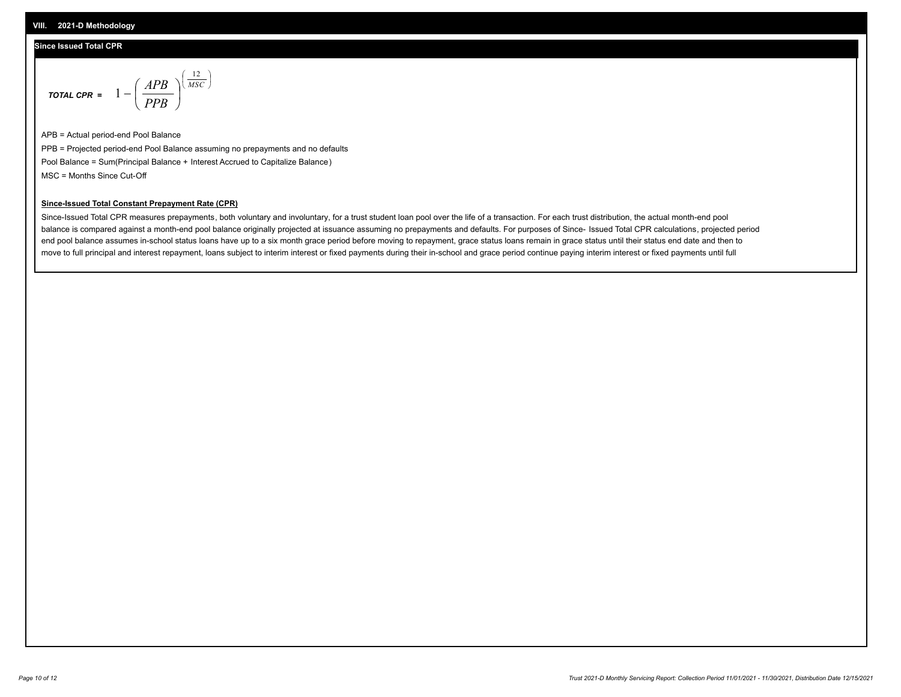### **Since Issued Total CPR**

$$
\text{total CPR} = 1 - \left(\frac{APB}{PPB}\right)^{\left(\frac{12}{MSC}\right)}
$$

APB = Actual period-end Pool Balance PPB = Projected period-end Pool Balance assuming no prepayments and no defaults Pool Balance = Sum(Principal Balance + Interest Accrued to Capitalize Balance) MSC = Months Since Cut-Off

I J Ι

### **Since-Issued Total Constant Prepayment Rate (CPR)**

Since-Issued Total CPR measures prepayments, both voluntary and involuntary, for a trust student loan pool over the life of a transaction. For each trust distribution, the actual month-end pool balance is compared against a month-end pool balance originally projected at issuance assuming no prepayments and defaults. For purposes of Since- Issued Total CPR calculations, projected period end pool balance assumes in-school status loans have up to a six month grace period before moving to repayment, grace status loans remain in grace status until their status end date and then to move to full principal and interest repayment, loans subject to interim interest or fixed payments during their in-school and grace period continue paying interim interest or fixed payments until full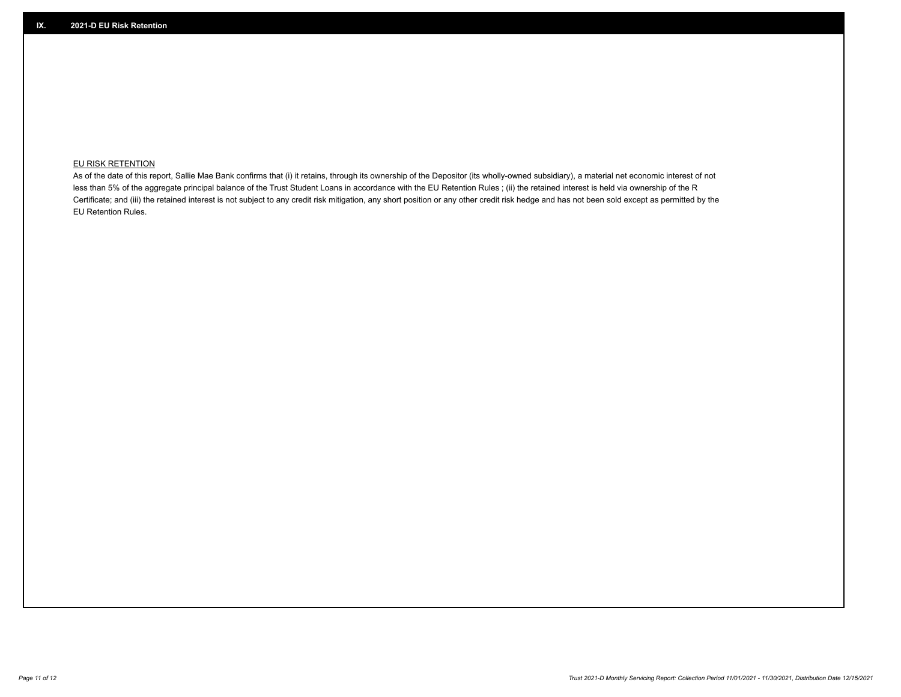## **EU RISK RETENTION**

As of the date of this report, Sallie Mae Bank confirms that (i) it retains, through its ownership of the Depositor (its wholly-owned subsidiary), a material net economic interest of not less than 5% of the aggregate principal balance of the Trust Student Loans in accordance with the EU Retention Rules ; (ii) the retained interest is held via ownership of the R Certificate; and (iii) the retained interest is not subject to any credit risk mitigation, any short position or any other credit risk hedge and has not been sold except as permitted by the EU Retention Rules.